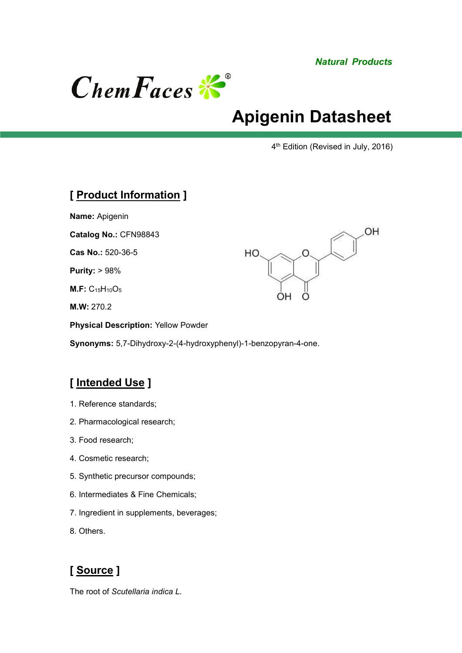*Natural Products*

OH



# **Apigenin Datasheet**

 $\Omega$ 

 $\circ$ 

OΗ

4 th Edition (Revised in July, 2016)

#### **[ Product Information ]**

**Name:** Apigenin

**Catalog No.:** CFN98843

**Cas No.:** 520-36-5

**Purity:** > 98%

**M.F:** C15H10O<sup>5</sup>

**M.W:** 270.2

**Physical Description:** Yellow Powder

**Synonyms:** 5,7-Dihydroxy-2-(4-hydroxyphenyl)-1-benzopyran-4-one.

HO

## **[ Intended Use ]**

- 1. Reference standards;
- 2. Pharmacological research;
- 3. Food research;
- 4. Cosmetic research;
- 5. Synthetic precursor compounds;
- 6. Intermediates & Fine Chemicals;
- 7. Ingredient in supplements, beverages;
- 8. Others.

## **[ Source ]**

The root of *Scutellaria indica L.*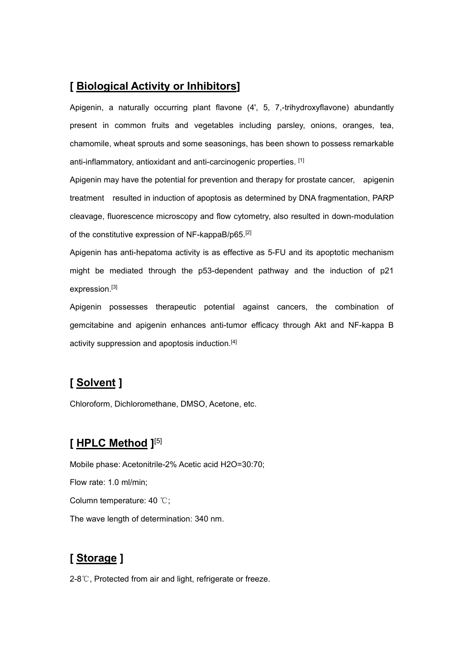#### **[ Biological Activity or Inhibitors]**

Apigenin, a naturally occurring plant flavone (4', 5, 7,-trihydroxyflavone) abundantly present in common fruits and vegetables including parsley, onions, oranges, tea, chamomile, wheat sprouts and some seasonings, has been shown to possess remarkable anti-inflammatory, antioxidant and anti-carcinogenic properties. [1]

Apigenin may have the potential for prevention and therapy for prostate cancer, apigenin treatment resulted in induction of apoptosis as determined by DNA fragmentation, PARP cleavage, fluorescence microscopy and flow cytometry, also resulted in down-modulation of the constitutive expression of NF-kappaB/p65.[2]

Apigenin has anti-hepatoma activity is as effective as 5-FU and its apoptotic mechanism might be mediated through the p53-dependent pathway and the induction of p21 expression.[3]

Apigenin possesses therapeutic potential against cancers, the combination of gemcitabine and apigenin enhances anti-tumor efficacy through Akt and NF-kappa B activity suppression and apoptosis induction.<sup>[4]</sup>

## **[ Solvent ]**

Chloroform, Dichloromethane, DMSO, Acetone, etc.

#### **[ HPLC Method ]** [5]

Mobile phase: Acetonitrile-2% Acetic acid H2O=30:70; Flow rate: 1.0 ml/min; Column temperature: 40 ℃; The wave length of determination: 340 nm.

## **[ Storage ]**

2-8℃, Protected from air and light, refrigerate or freeze.